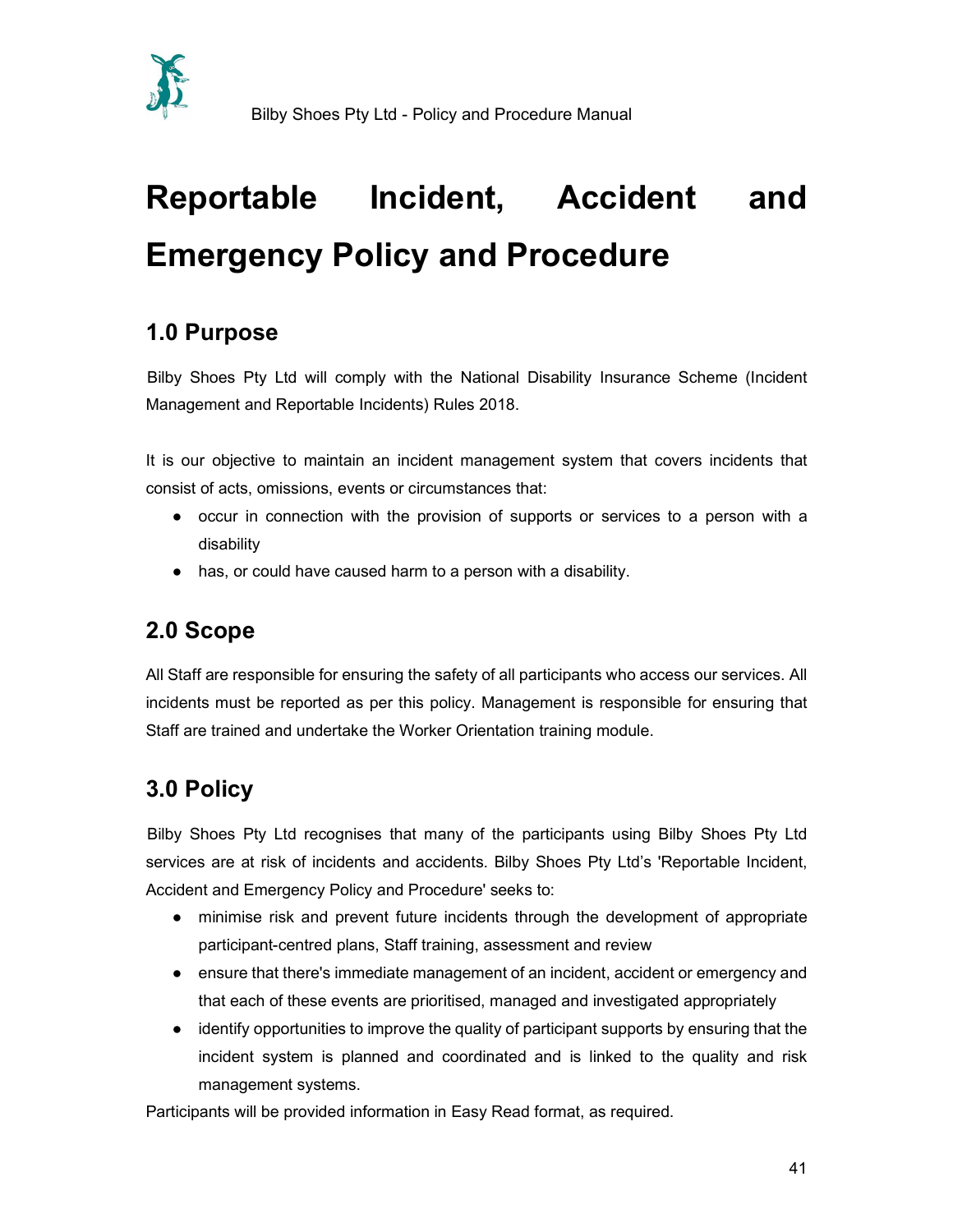

# Reportable Incident, Accident and Emergency Policy and Procedure

### 1.0 Purpose

Bilby Shoes Pty Ltd will comply with the National Disability Insurance Scheme (Incident Management and Reportable Incidents) Rules 2018.

It is our objective to maintain an incident management system that covers incidents that consist of acts, omissions, events or circumstances that:

- occur in connection with the provision of supports or services to a person with a disability
- has, or could have caused harm to a person with a disability.

### 2.0 Scope

All Staff are responsible for ensuring the safety of all participants who access our services. All incidents must be reported as per this policy. Management is responsible for ensuring that Staff are trained and undertake the Worker Orientation training module.

## 3.0 Policy

Bilby Shoes Pty Ltd recognises that many of the participants using Bilby Shoes Pty Ltd services are at risk of incidents and accidents. Bilby Shoes Pty Ltd's 'Reportable Incident, Accident and Emergency Policy and Procedure' seeks to:

- minimise risk and prevent future incidents through the development of appropriate participant-centred plans, Staff training, assessment and review
- ensure that there's immediate management of an incident, accident or emergency and that each of these events are prioritised, managed and investigated appropriately
- identify opportunities to improve the quality of participant supports by ensuring that the incident system is planned and coordinated and is linked to the quality and risk management systems.

Participants will be provided information in Easy Read format, as required.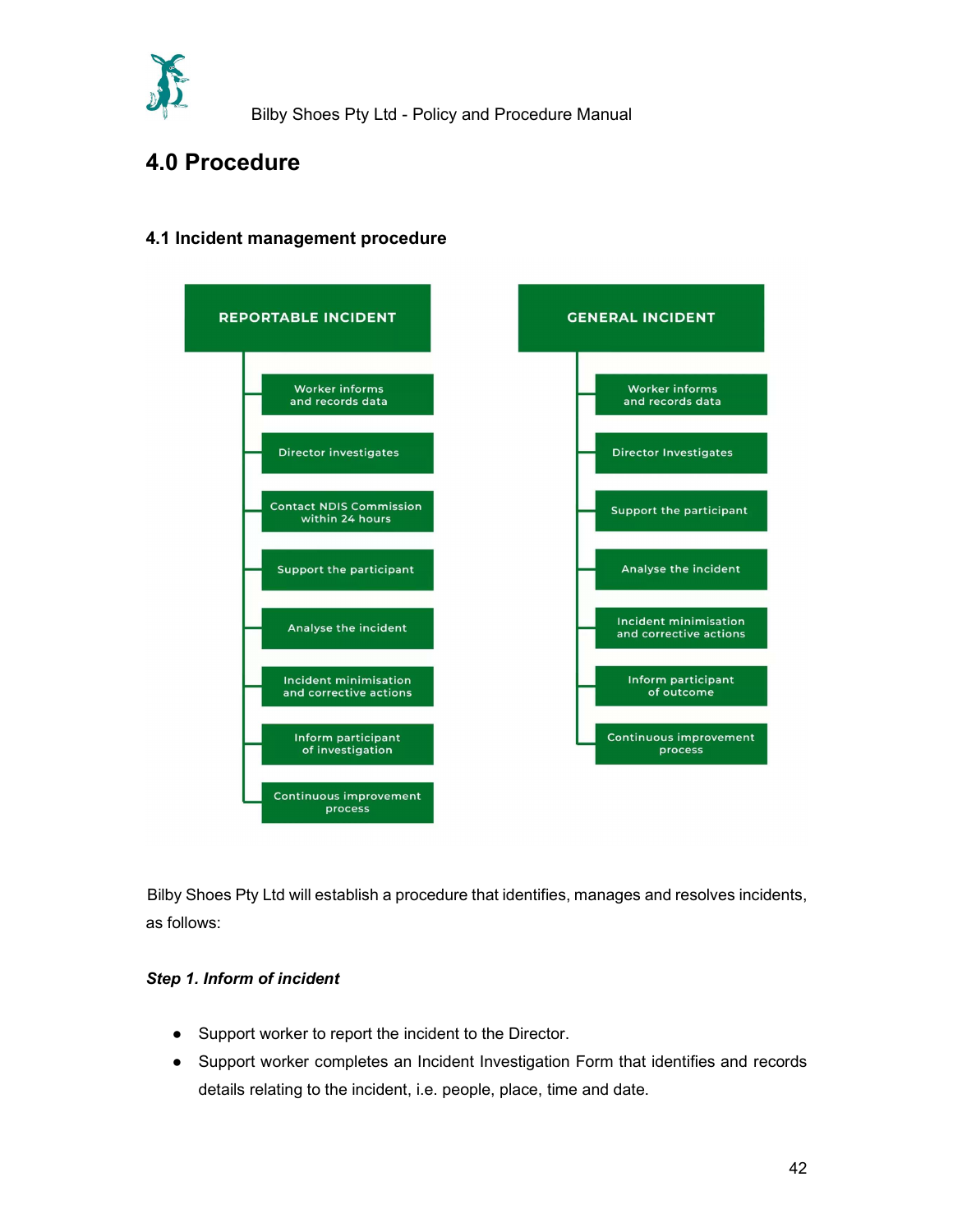

### 4.0 Procedure



### 4.1 Incident management procedure

 Bilby Shoes Pty Ltd will establish a procedure that identifies, manages and resolves incidents, as follows:

#### Step 1. Inform of incident

- Support worker to report the incident to the Director.
- Support worker completes an Incident Investigation Form that identifies and records details relating to the incident, i.e. people, place, time and date.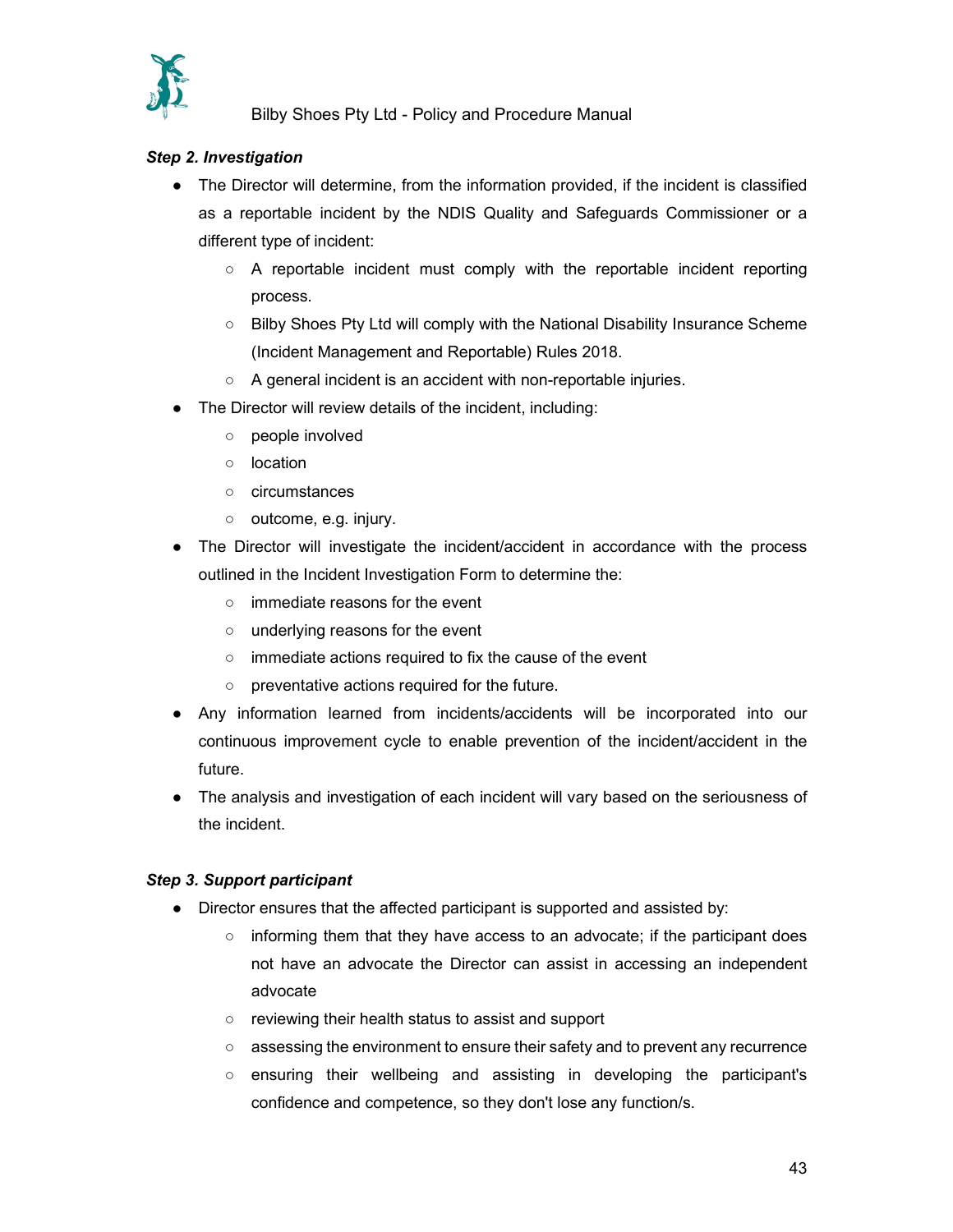

#### Step 2. Investigation

- The Director will determine, from the information provided, if the incident is classified as a reportable incident by the NDIS Quality and Safeguards Commissioner or a different type of incident:
	- $\circ$  A reportable incident must comply with the reportable incident reporting process.
	- Bilby Shoes Pty Ltd will comply with the National Disability Insurance Scheme (Incident Management and Reportable) Rules 2018.
	- A general incident is an accident with non-reportable injuries.
- The Director will review details of the incident, including:
	- people involved
	- location
	- circumstances
	- outcome, e.g. injury.
- The Director will investigate the incident/accident in accordance with the process outlined in the Incident Investigation Form to determine the:
	- immediate reasons for the event
	- underlying reasons for the event
	- immediate actions required to fix the cause of the event
	- preventative actions required for the future.
- Any information learned from incidents/accidents will be incorporated into our continuous improvement cycle to enable prevention of the incident/accident in the future.
- The analysis and investigation of each incident will vary based on the seriousness of the incident.

#### Step 3. Support participant

- Director ensures that the affected participant is supported and assisted by:
	- informing them that they have access to an advocate; if the participant does not have an advocate the Director can assist in accessing an independent advocate
	- reviewing their health status to assist and support
	- assessing the environment to ensure their safety and to prevent any recurrence
	- ensuring their wellbeing and assisting in developing the participant's confidence and competence, so they don't lose any function/s.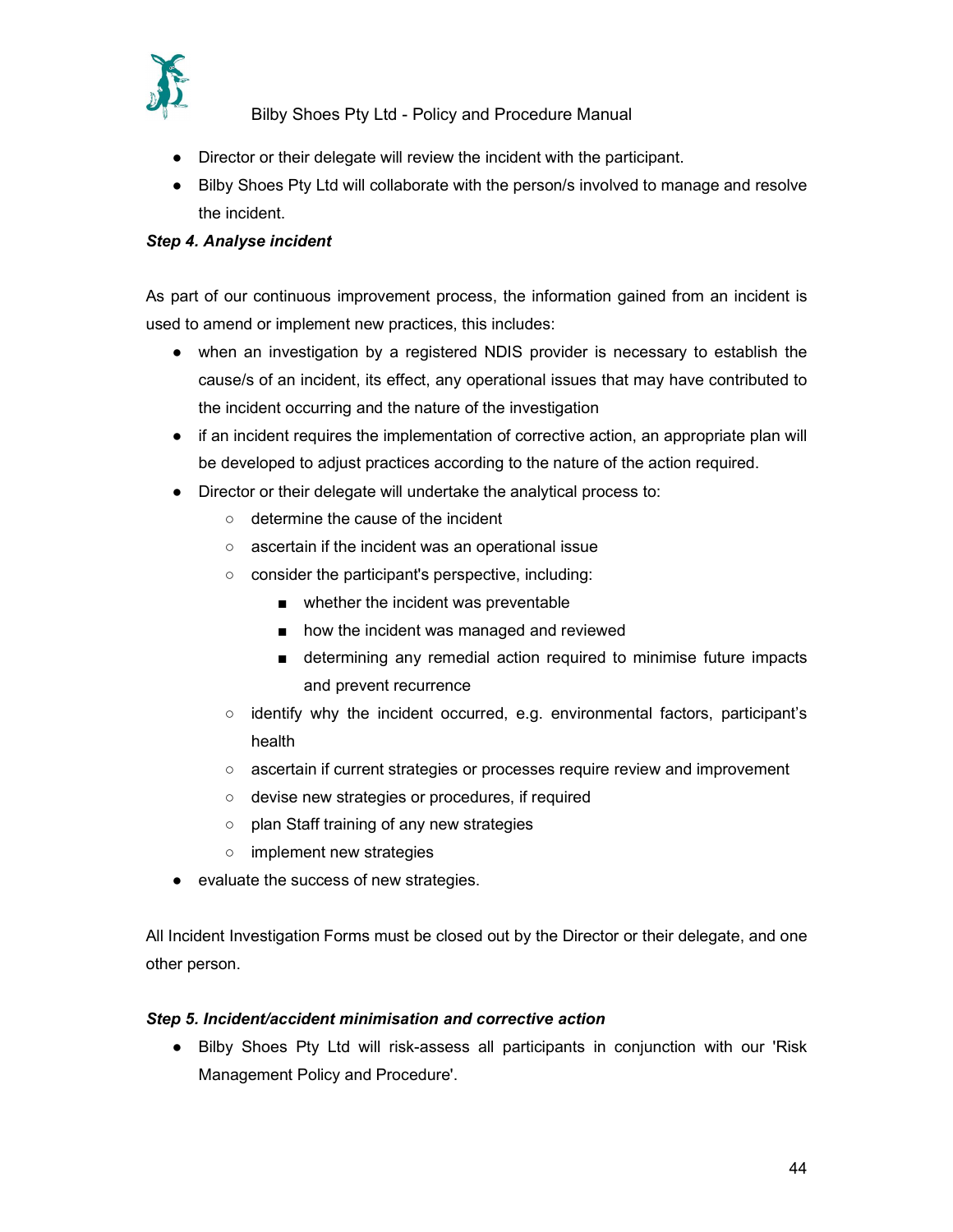

- Director or their delegate will review the incident with the participant.
- Bilby Shoes Pty Ltd will collaborate with the person/s involved to manage and resolve the incident.

#### Step 4. Analyse incident

 As part of our continuous improvement process, the information gained from an incident is used to amend or implement new practices, this includes:

- when an investigation by a registered NDIS provider is necessary to establish the cause/s of an incident, its effect, any operational issues that may have contributed to the incident occurring and the nature of the investigation
- if an incident requires the implementation of corrective action, an appropriate plan will be developed to adjust practices according to the nature of the action required.
- Director or their delegate will undertake the analytical process to:
	- determine the cause of the incident
	- ascertain if the incident was an operational issue
	- consider the participant's perspective, including:
		- whether the incident was preventable
		- how the incident was managed and reviewed
		- determining any remedial action required to minimise future impacts and prevent recurrence
	- identify why the incident occurred, e.g. environmental factors, participant's health
	- ascertain if current strategies or processes require review and improvement
	- devise new strategies or procedures, if required
	- plan Staff training of any new strategies
	- implement new strategies
- evaluate the success of new strategies.

 All Incident Investigation Forms must be closed out by the Director or their delegate, and one other person.

#### Step 5. Incident/accident minimisation and corrective action

● Bilby Shoes Pty Ltd will risk-assess all participants in conjunction with our 'Risk Management Policy and Procedure'.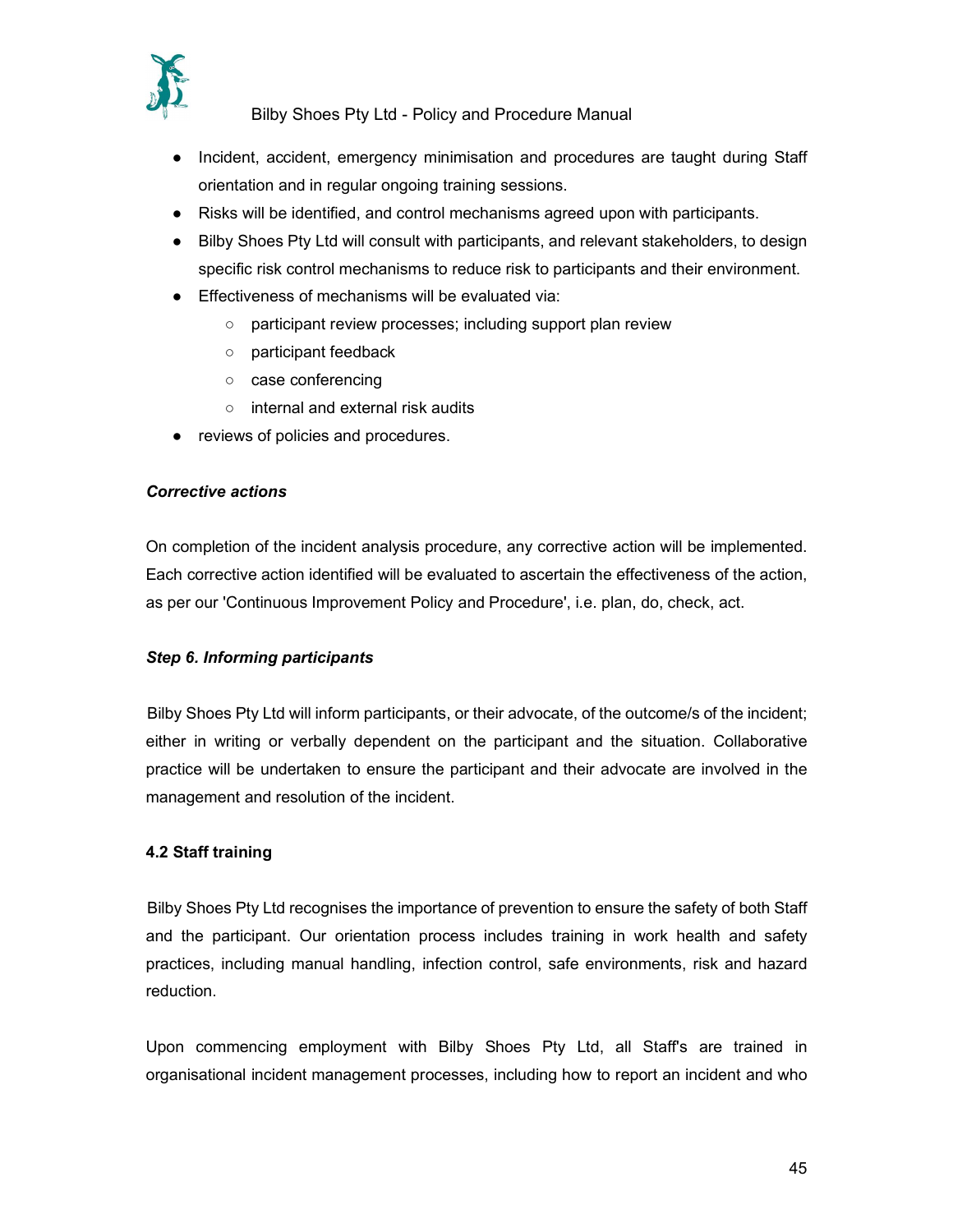

- Incident, accident, emergency minimisation and procedures are taught during Staff orientation and in regular ongoing training sessions.
- Risks will be identified, and control mechanisms agreed upon with participants.
- Bilby Shoes Pty Ltd will consult with participants, and relevant stakeholders, to design specific risk control mechanisms to reduce risk to participants and their environment.
- Effectiveness of mechanisms will be evaluated via:
	- participant review processes; including support plan review
	- participant feedback
	- case conferencing
	- internal and external risk audits
- reviews of policies and procedures.

#### Corrective actions

On completion of the incident analysis procedure, any corrective action will be implemented. Each corrective action identified will be evaluated to ascertain the effectiveness of the action, as per our 'Continuous Improvement Policy and Procedure', i.e. plan, do, check, act.

#### Step 6. Informing participants

Bilby Shoes Pty Ltd will inform participants, or their advocate, of the outcome/s of the incident; either in writing or verbally dependent on the participant and the situation. Collaborative practice will be undertaken to ensure the participant and their advocate are involved in the management and resolution of the incident.

#### 4.2 Staff training

 Bilby Shoes Pty Ltd recognises the importance of prevention to ensure the safety of both Staff and the participant. Our orientation process includes training in work health and safety practices, including manual handling, infection control, safe environments, risk and hazard reduction.

 Upon commencing employment with Bilby Shoes Pty Ltd, all Staff's are trained in organisational incident management processes, including how to report an incident and who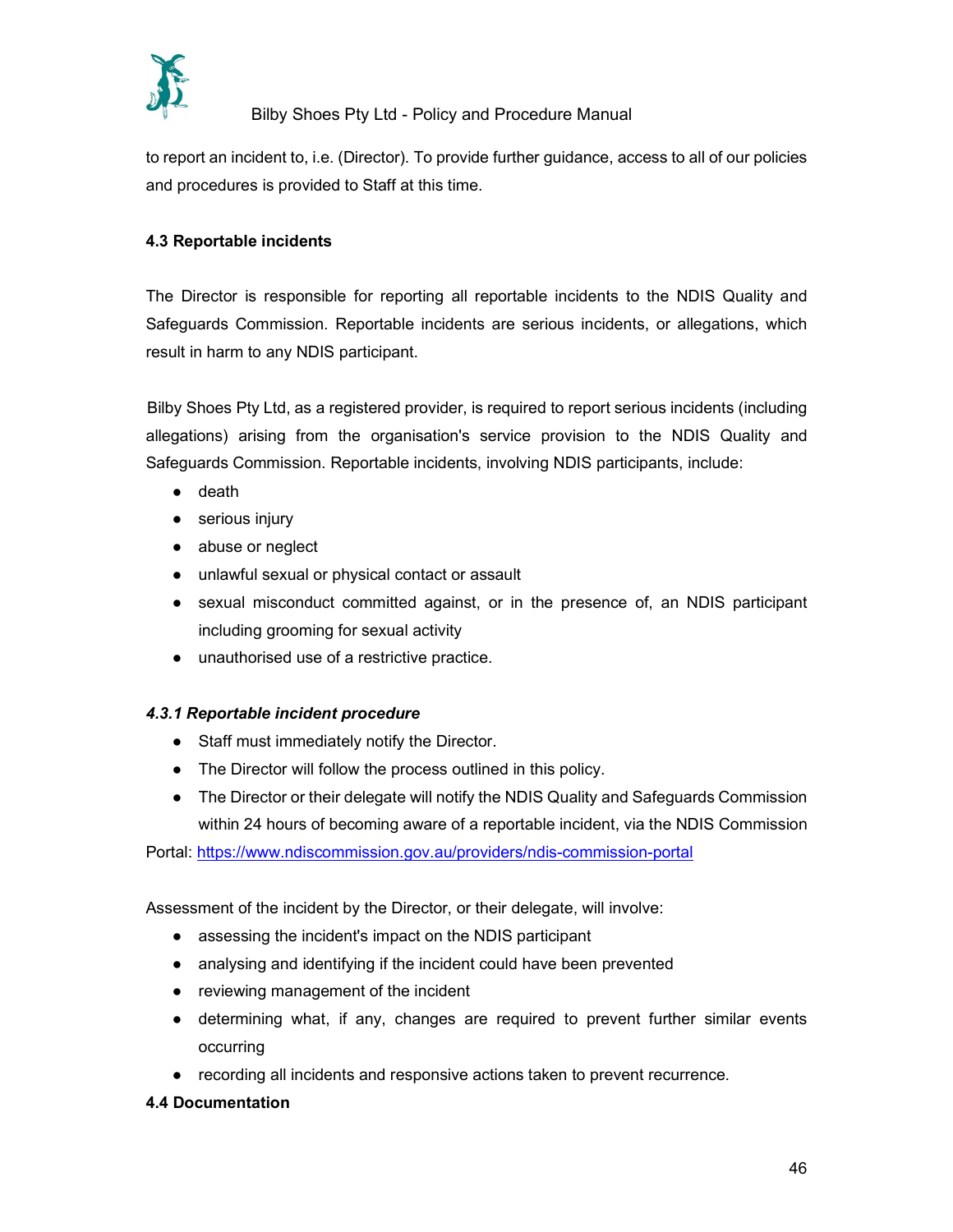

to report an incident to, i.e. (Director). To provide further guidance, access to all of our policies and procedures is provided to Staff at this time.

#### 4.3 Reportable incidents

 The Director is responsible for reporting all reportable incidents to the NDIS Quality and Safeguards Commission. Reportable incidents are serious incidents, or allegations, which result in harm to any NDIS participant.

 Bilby Shoes Pty Ltd, as a registered provider, is required to report serious incidents (including allegations) arising from the organisation's service provision to the NDIS Quality and Safeguards Commission. Reportable incidents, involving NDIS participants, include:

- death
- serious injury
- abuse or neglect
- unlawful sexual or physical contact or assault
- sexual misconduct committed against, or in the presence of, an NDIS participant including grooming for sexual activity
- unauthorised use of a restrictive practice.

#### 4.3.1 Reportable incident procedure

- Staff must immediately notify the Director.
- The Director will follow the process outlined in this policy.
- The Director or their delegate will notify the NDIS Quality and Safeguards Commission within 24 hours of becoming aware of a reportable incident, via the NDIS Commission

Portal: https://www.ndiscommission.gov.au/providers/ndis-commission-portal

Assessment of the incident by the Director, or their delegate, will involve:

- assessing the incident's impact on the NDIS participant
- analysing and identifying if the incident could have been prevented
- reviewing management of the incident
- determining what, if any, changes are required to prevent further similar events occurring
- recording all incidents and responsive actions taken to prevent recurrence.
- 4.4 Documentation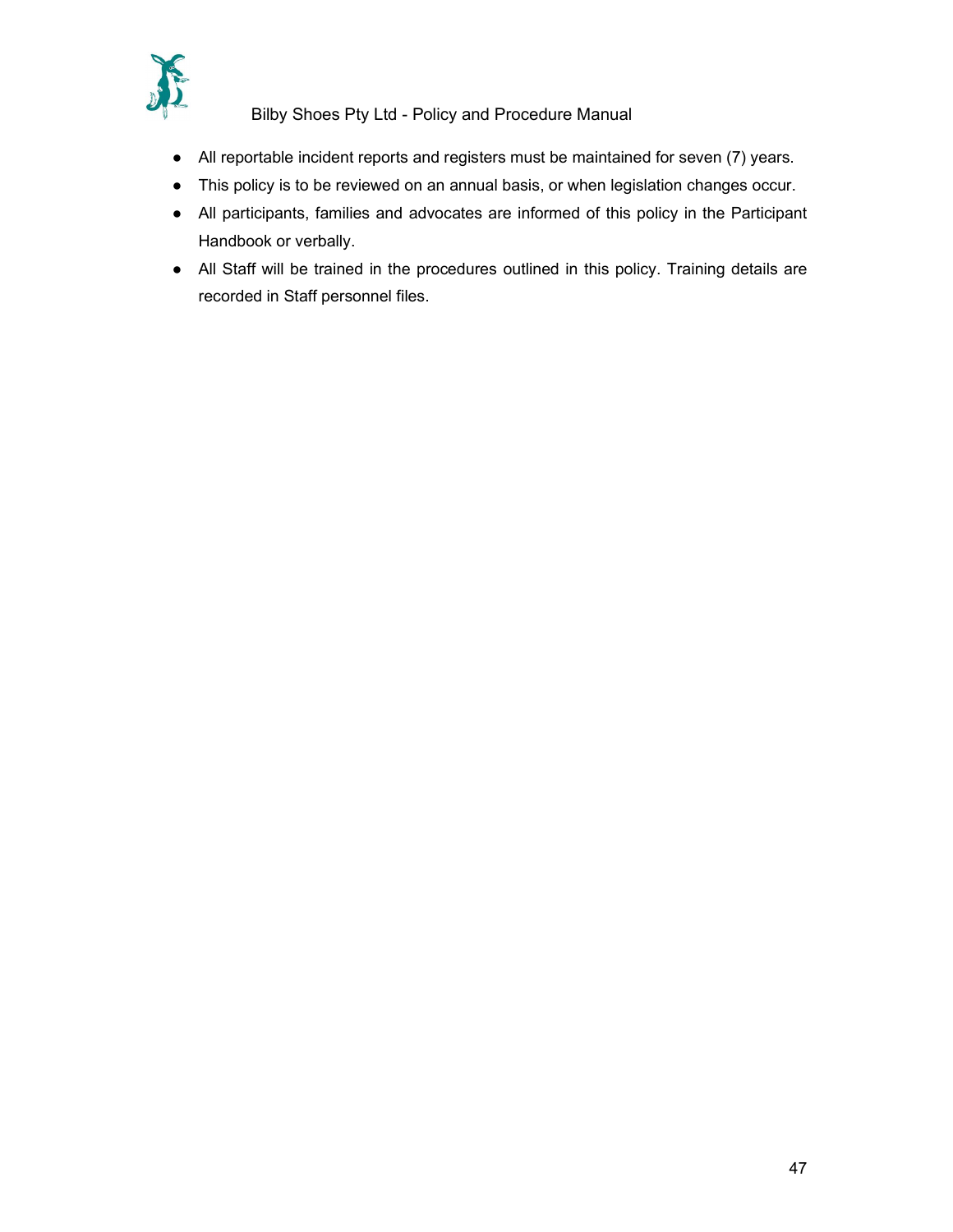

- All reportable incident reports and registers must be maintained for seven (7) years.
- This policy is to be reviewed on an annual basis, or when legislation changes occur.
- All participants, families and advocates are informed of this policy in the Participant Handbook or verbally.
- All Staff will be trained in the procedures outlined in this policy. Training details are recorded in Staff personnel files.